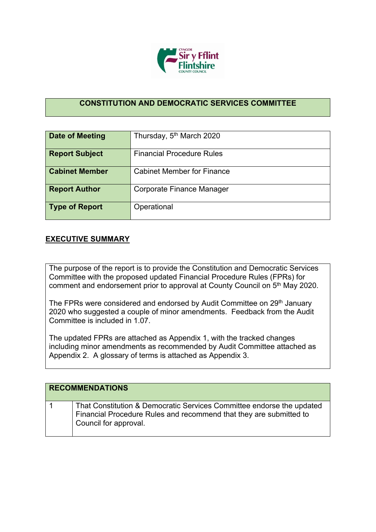

## **CONSTITUTION AND DEMOCRATIC SERVICES COMMITTEE**

| Date of Meeting       | Thursday, 5 <sup>th</sup> March 2020 |
|-----------------------|--------------------------------------|
| <b>Report Subject</b> | <b>Financial Procedure Rules</b>     |
| <b>Cabinet Member</b> | <b>Cabinet Member for Finance</b>    |
| <b>Report Author</b>  | Corporate Finance Manager            |
| <b>Type of Report</b> | Operational                          |

## **EXECUTIVE SUMMARY**

The purpose of the report is to provide the Constitution and Democratic Services Committee with the proposed updated Financial Procedure Rules (FPRs) for comment and endorsement prior to approval at County Council on 5<sup>th</sup> May 2020.

The FPRs were considered and endorsed by Audit Committee on 29<sup>th</sup> January 2020 who suggested a couple of minor amendments. Feedback from the Audit Committee is included in 1.07.

The updated FPRs are attached as Appendix 1, with the tracked changes including minor amendments as recommended by Audit Committee attached as Appendix 2. A glossary of terms is attached as Appendix 3.

| <b>RECOMMENDATIONS</b>                                                                                                                                               |
|----------------------------------------------------------------------------------------------------------------------------------------------------------------------|
| That Constitution & Democratic Services Committee endorse the updated<br>Financial Procedure Rules and recommend that they are submitted to<br>Council for approval. |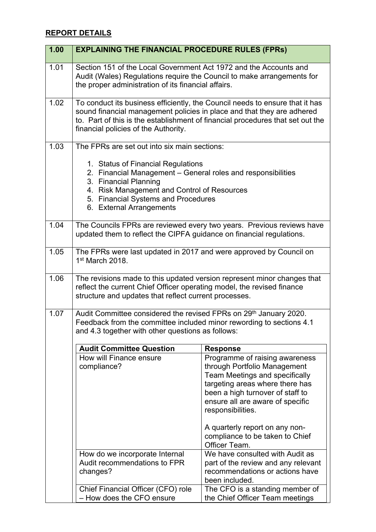## **REPORT DETAILS**

| 1.00 | <b>EXPLAINING THE FINANCIAL PROCEDURE RULES (FPRS)</b>                                                                                                                                                                                                                           |                                                                                                                                                                                                                                         |
|------|----------------------------------------------------------------------------------------------------------------------------------------------------------------------------------------------------------------------------------------------------------------------------------|-----------------------------------------------------------------------------------------------------------------------------------------------------------------------------------------------------------------------------------------|
| 1.01 | Section 151 of the Local Government Act 1972 and the Accounts and<br>Audit (Wales) Regulations require the Council to make arrangements for<br>the proper administration of its financial affairs.                                                                               |                                                                                                                                                                                                                                         |
| 1.02 | To conduct its business efficiently, the Council needs to ensure that it has<br>sound financial management policies in place and that they are adhered<br>to. Part of this is the establishment of financial procedures that set out the<br>financial policies of the Authority. |                                                                                                                                                                                                                                         |
| 1.03 | The FPRs are set out into six main sections:                                                                                                                                                                                                                                     |                                                                                                                                                                                                                                         |
|      | 1. Status of Financial Regulations<br>2. Financial Management - General roles and responsibilities<br>3. Financial Planning<br>4. Risk Management and Control of Resources<br>5. Financial Systems and Procedures<br>6. External Arrangements                                    |                                                                                                                                                                                                                                         |
| 1.04 | The Councils FPRs are reviewed every two years. Previous reviews have<br>updated them to reflect the CIPFA guidance on financial regulations.                                                                                                                                    |                                                                                                                                                                                                                                         |
| 1.05 | The FPRs were last updated in 2017 and were approved by Council on<br>1 <sup>st</sup> March 2018.                                                                                                                                                                                |                                                                                                                                                                                                                                         |
| 1.06 | The revisions made to this updated version represent minor changes that<br>reflect the current Chief Officer operating model, the revised finance<br>structure and updates that reflect current processes.                                                                       |                                                                                                                                                                                                                                         |
| 1.07 | Audit Committee considered the revised FPRs on 29th January 2020.<br>Feedback from the committee included minor rewording to sections 4.1<br>and 4.3 together with other questions as follows:                                                                                   |                                                                                                                                                                                                                                         |
|      | <b>Audit Committee Question</b>                                                                                                                                                                                                                                                  | <b>Response</b>                                                                                                                                                                                                                         |
|      | How will Finance ensure<br>compliance?                                                                                                                                                                                                                                           | Programme of raising awareness<br>through Portfolio Management<br><b>Team Meetings and specifically</b><br>targeting areas where there has<br>been a high turnover of staff to<br>ensure all are aware of specific<br>responsibilities. |
|      |                                                                                                                                                                                                                                                                                  | A quarterly report on any non-<br>compliance to be taken to Chief<br>Officer Team.                                                                                                                                                      |
|      | How do we incorporate Internal<br>Audit recommendations to FPR<br>changes?                                                                                                                                                                                                       | We have consulted with Audit as<br>part of the review and any relevant<br>recommendations or actions have<br>been included.                                                                                                             |
|      | Chief Financial Officer (CFO) role<br>- How does the CFO ensure                                                                                                                                                                                                                  | The CFO is a standing member of<br>the Chief Officer Team meetings                                                                                                                                                                      |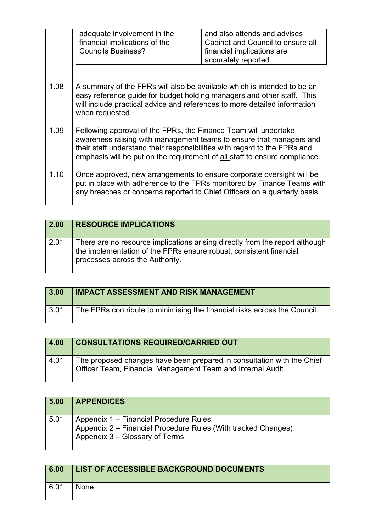|      | adequate involvement in the<br>financial implications of the<br><b>Councils Business?</b>                                                                                                                                                                                                         | and also attends and advises<br>Cabinet and Council to ensure all<br>financial implications are<br>accurately reported. |
|------|---------------------------------------------------------------------------------------------------------------------------------------------------------------------------------------------------------------------------------------------------------------------------------------------------|-------------------------------------------------------------------------------------------------------------------------|
| 1.08 | A summary of the FPRs will also be available which is intended to be an<br>easy reference guide for budget holding managers and other staff. This<br>will include practical advice and references to more detailed information<br>when requested.                                                 |                                                                                                                         |
| 1.09 | Following approval of the FPRs, the Finance Team will undertake<br>awareness raising with management teams to ensure that managers and<br>their staff understand their responsibilities with regard to the FPRs and<br>emphasis will be put on the requirement of all staff to ensure compliance. |                                                                                                                         |
| 1.10 | Once approved, new arrangements to ensure corporate oversight will be<br>any breaches or concerns reported to Chief Officers on a quarterly basis.                                                                                                                                                | put in place with adherence to the FPRs monitored by Finance Teams with                                                 |

| 2.00 | <b>RESOURCE IMPLICATIONS</b>                                                                                                                                                          |
|------|---------------------------------------------------------------------------------------------------------------------------------------------------------------------------------------|
| 2.01 | There are no resource implications arising directly from the report although<br>the implementation of the FPRs ensure robust, consistent financial<br>processes across the Authority. |

| 3.00 | <b>IMPACT ASSESSMENT AND RISK MANAGEMENT</b>                              |
|------|---------------------------------------------------------------------------|
| 3.01 | The FPRs contribute to minimising the financial risks across the Council. |

| 4.00 | <b>CONSULTATIONS REQUIRED/CARRIED OUT</b>                                                                                                    |
|------|----------------------------------------------------------------------------------------------------------------------------------------------|
| 4.01 | The proposed changes have been prepared in consultation with the Chief<br><b>Officer Team, Financial Management Team and Internal Audit.</b> |

| 5.00 | <b>APPENDICES</b>                                                                                                                             |
|------|-----------------------------------------------------------------------------------------------------------------------------------------------|
| 5.01 | │ Appendix 1 – Financial Procedure Rules<br>│ Appendix 2 – Financial Procedure Rules (With tracked Changes)<br>Appendix 3 – Glossary of Terms |

| 6.00 | LIST OF ACCESSIBLE BACKGROUND DOCUMENTS |
|------|-----------------------------------------|
| 6.01 | None.                                   |